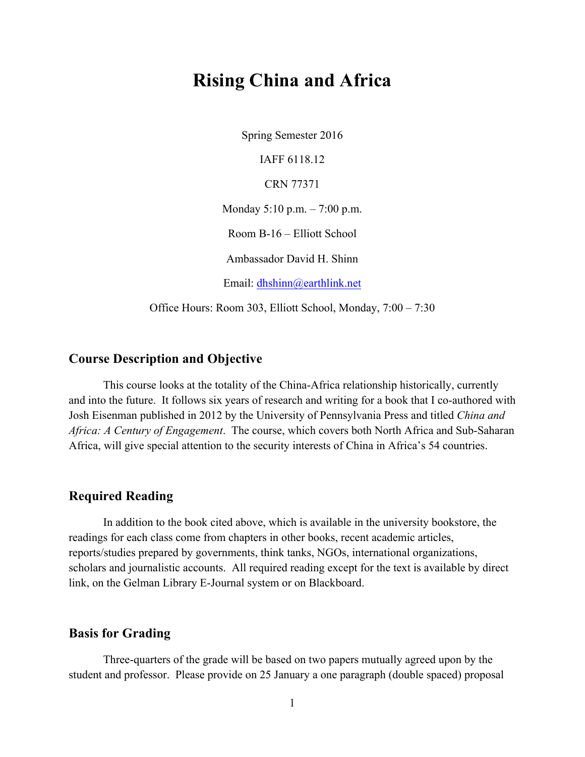# **Rising China and Africa**

Spring Semester 2016 IAFF 6118.12 CRN 77371 Monday 5:10 p.m. – 7:00 p.m. Room B-16 – Elliott School Ambassador David H. Shinn Email: dhshinn@earthlink.net

Office Hours: Room 303, Elliott School, Monday, 7:00 – 7:30

## **Course Description and Objective**

This course looks at the totality of the China-Africa relationship historically, currently and into the future. It follows six years of research and writing for a book that I co-authored with Josh Eisenman published in 2012 by the University of Pennsylvania Press and titled *China and Africa: A Century of Engagement*. The course, which covers both North Africa and Sub-Saharan Africa, will give special attention to the security interests of China in Africa's 54 countries.

# **Required Reading**

In addition to the book cited above, which is available in the university bookstore, the readings for each class come from chapters in other books, recent academic articles, reports/studies prepared by governments, think tanks, NGOs, international organizations, scholars and journalistic accounts. All required reading except for the text is available by direct link, on the Gelman Library E-Journal system or on Blackboard.

# **Basis for Grading**

Three-quarters of the grade will be based on two papers mutually agreed upon by the student and professor. Please provide on 25 January a one paragraph (double spaced) proposal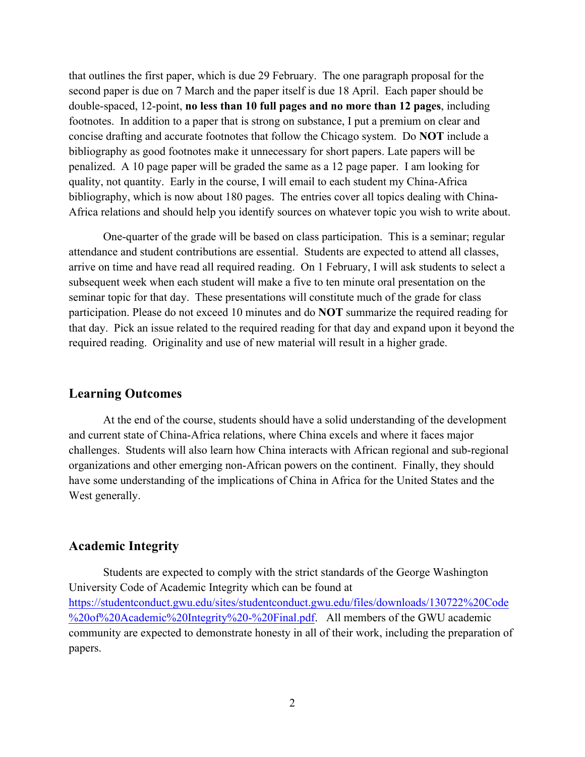that outlines the first paper, which is due 29 February. The one paragraph proposal for the second paper is due on 7 March and the paper itself is due 18 April. Each paper should be double-spaced, 12-point, **no less than 10 full pages and no more than 12 pages**, including footnotes. In addition to a paper that is strong on substance, I put a premium on clear and concise drafting and accurate footnotes that follow the Chicago system. Do **NOT** include a bibliography as good footnotes make it unnecessary for short papers. Late papers will be penalized. A 10 page paper will be graded the same as a 12 page paper. I am looking for quality, not quantity. Early in the course, I will email to each student my China-Africa bibliography, which is now about 180 pages. The entries cover all topics dealing with China-Africa relations and should help you identify sources on whatever topic you wish to write about.

One-quarter of the grade will be based on class participation. This is a seminar; regular attendance and student contributions are essential. Students are expected to attend all classes, arrive on time and have read all required reading. On 1 February, I will ask students to select a subsequent week when each student will make a five to ten minute oral presentation on the seminar topic for that day. These presentations will constitute much of the grade for class participation. Please do not exceed 10 minutes and do **NOT** summarize the required reading for that day. Pick an issue related to the required reading for that day and expand upon it beyond the required reading. Originality and use of new material will result in a higher grade.

## **Learning Outcomes**

At the end of the course, students should have a solid understanding of the development and current state of China-Africa relations, where China excels and where it faces major challenges. Students will also learn how China interacts with African regional and sub-regional organizations and other emerging non-African powers on the continent. Finally, they should have some understanding of the implications of China in Africa for the United States and the West generally.

# **Academic Integrity**

Students are expected to comply with the strict standards of the George Washington University Code of Academic Integrity which can be found at https://studentconduct.gwu.edu/sites/studentconduct.gwu.edu/files/downloads/130722%20Code %20of%20Academic%20Integrity%20-%20Final.pdf. All members of the GWU academic community are expected to demonstrate honesty in all of their work, including the preparation of papers.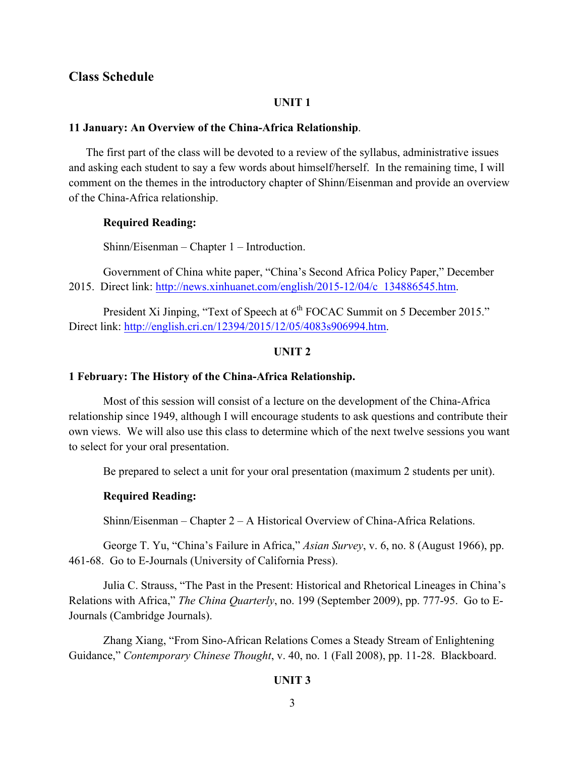## **Class Schedule**

#### **UNIT 1**

#### **11 January: An Overview of the China-Africa Relationship**.

 The first part of the class will be devoted to a review of the syllabus, administrative issues and asking each student to say a few words about himself/herself. In the remaining time, I will comment on the themes in the introductory chapter of Shinn/Eisenman and provide an overview of the China-Africa relationship.

### **Required Reading:**

Shinn/Eisenman – Chapter 1 – Introduction.

Government of China white paper, "China's Second Africa Policy Paper," December 2015. Direct link: http://news.xinhuanet.com/english/2015-12/04/c\_134886545.htm.

President Xi Jinping, "Text of Speech at 6<sup>th</sup> FOCAC Summit on 5 December 2015." Direct link: http://english.cri.cn/12394/2015/12/05/4083s906994.htm.

## **UNIT 2**

### **1 February: The History of the China-Africa Relationship.**

Most of this session will consist of a lecture on the development of the China-Africa relationship since 1949, although I will encourage students to ask questions and contribute their own views. We will also use this class to determine which of the next twelve sessions you want to select for your oral presentation.

Be prepared to select a unit for your oral presentation (maximum 2 students per unit).

## **Required Reading:**

Shinn/Eisenman – Chapter 2 – A Historical Overview of China-Africa Relations.

George T. Yu, "China's Failure in Africa," *Asian Survey*, v. 6, no. 8 (August 1966), pp. 461-68. Go to E-Journals (University of California Press).

Julia C. Strauss, "The Past in the Present: Historical and Rhetorical Lineages in China's Relations with Africa," *The China Quarterly*, no. 199 (September 2009), pp. 777-95. Go to E-Journals (Cambridge Journals).

Zhang Xiang, "From Sino-African Relations Comes a Steady Stream of Enlightening Guidance," *Contemporary Chinese Thought*, v. 40, no. 1 (Fall 2008), pp. 11-28. Blackboard.

## **UNIT 3**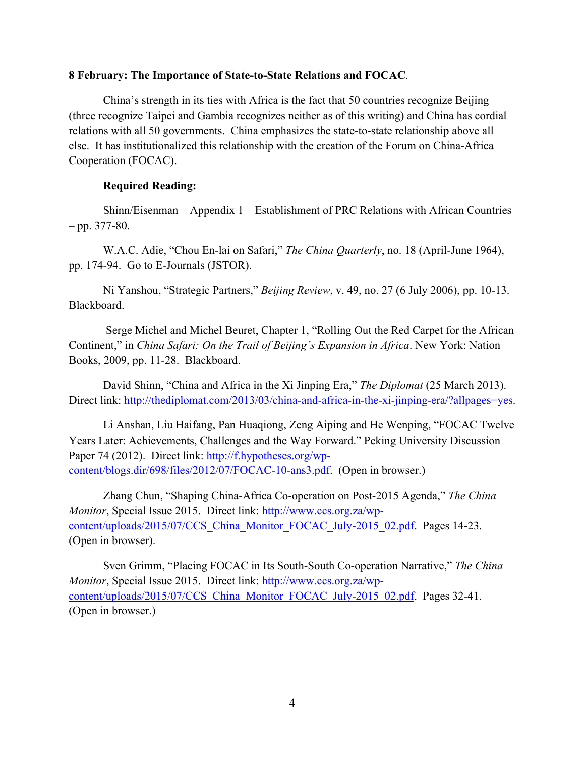## **8 February: The Importance of State-to-State Relations and FOCAC**.

China's strength in its ties with Africa is the fact that 50 countries recognize Beijing (three recognize Taipei and Gambia recognizes neither as of this writing) and China has cordial relations with all 50 governments. China emphasizes the state-to-state relationship above all else. It has institutionalized this relationship with the creation of the Forum on China-Africa Cooperation (FOCAC).

## **Required Reading:**

Shinn/Eisenman – Appendix 1 – Establishment of PRC Relations with African Countries  $-$  pp. 377-80.

W.A.C. Adie, "Chou En-lai on Safari," *The China Quarterly*, no. 18 (April-June 1964), pp. 174-94. Go to E-Journals (JSTOR).

Ni Yanshou, "Strategic Partners," *Beijing Review*, v. 49, no. 27 (6 July 2006), pp. 10-13. Blackboard.

Serge Michel and Michel Beuret, Chapter 1, "Rolling Out the Red Carpet for the African Continent," in *China Safari: On the Trail of Beijing's Expansion in Africa*. New York: Nation Books, 2009, pp. 11-28. Blackboard.

David Shinn, "China and Africa in the Xi Jinping Era," *The Diplomat* (25 March 2013). Direct link: http://thediplomat.com/2013/03/china-and-africa-in-the-xi-jinping-era/?allpages=yes.

Li Anshan, Liu Haifang, Pan Huaqiong, Zeng Aiping and He Wenping, "FOCAC Twelve Years Later: Achievements, Challenges and the Way Forward." Peking University Discussion Paper 74 (2012). Direct link: http://f.hypotheses.org/wpcontent/blogs.dir/698/files/2012/07/FOCAC-10-ans3.pdf. (Open in browser.)

Zhang Chun, "Shaping China-Africa Co-operation on Post-2015 Agenda," *The China Monitor*, Special Issue 2015. Direct link: http://www.ccs.org.za/wpcontent/uploads/2015/07/CCS\_China\_Monitor\_FOCAC\_July-2015\_02.pdf. Pages 14-23. (Open in browser).

Sven Grimm, "Placing FOCAC in Its South-South Co-operation Narrative," *The China Monitor*, Special Issue 2015. Direct link: http://www.ccs.org.za/wpcontent/uploads/2015/07/CCS China Monitor FOCAC July-2015 02.pdf. Pages 32-41. (Open in browser.)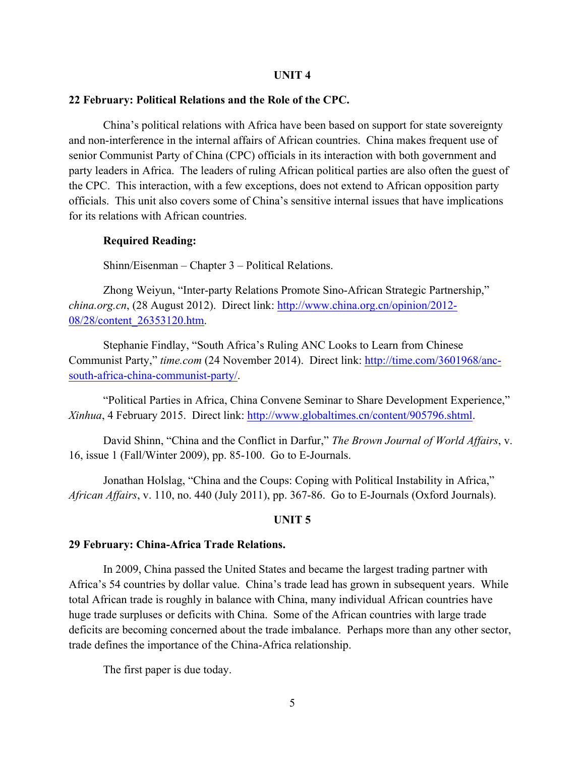#### **UNIT 4**

#### **22 February: Political Relations and the Role of the CPC.**

China's political relations with Africa have been based on support for state sovereignty and non-interference in the internal affairs of African countries. China makes frequent use of senior Communist Party of China (CPC) officials in its interaction with both government and party leaders in Africa. The leaders of ruling African political parties are also often the guest of the CPC. This interaction, with a few exceptions, does not extend to African opposition party officials. This unit also covers some of China's sensitive internal issues that have implications for its relations with African countries.

#### **Required Reading:**

Shinn/Eisenman – Chapter 3 – Political Relations.

Zhong Weiyun, "Inter-party Relations Promote Sino-African Strategic Partnership," *china.org.cn*, (28 August 2012). Direct link: http://www.china.org.cn/opinion/2012- 08/28/content\_26353120.htm.

Stephanie Findlay, "South Africa's Ruling ANC Looks to Learn from Chinese Communist Party," *time.com* (24 November 2014). Direct link: http://time.com/3601968/ancsouth-africa-china-communist-party/.

"Political Parties in Africa, China Convene Seminar to Share Development Experience," *Xinhua*, 4 February 2015. Direct link: http://www.globaltimes.cn/content/905796.shtml.

David Shinn, "China and the Conflict in Darfur," *The Brown Journal of World Affairs*, v. 16, issue 1 (Fall/Winter 2009), pp. 85-100. Go to E-Journals.

Jonathan Holslag, "China and the Coups: Coping with Political Instability in Africa," *African Affairs*, v. 110, no. 440 (July 2011), pp. 367-86. Go to E-Journals (Oxford Journals).

#### **UNIT 5**

#### **29 February: China-Africa Trade Relations.**

In 2009, China passed the United States and became the largest trading partner with Africa's 54 countries by dollar value. China's trade lead has grown in subsequent years. While total African trade is roughly in balance with China, many individual African countries have huge trade surpluses or deficits with China. Some of the African countries with large trade deficits are becoming concerned about the trade imbalance. Perhaps more than any other sector, trade defines the importance of the China-Africa relationship.

The first paper is due today.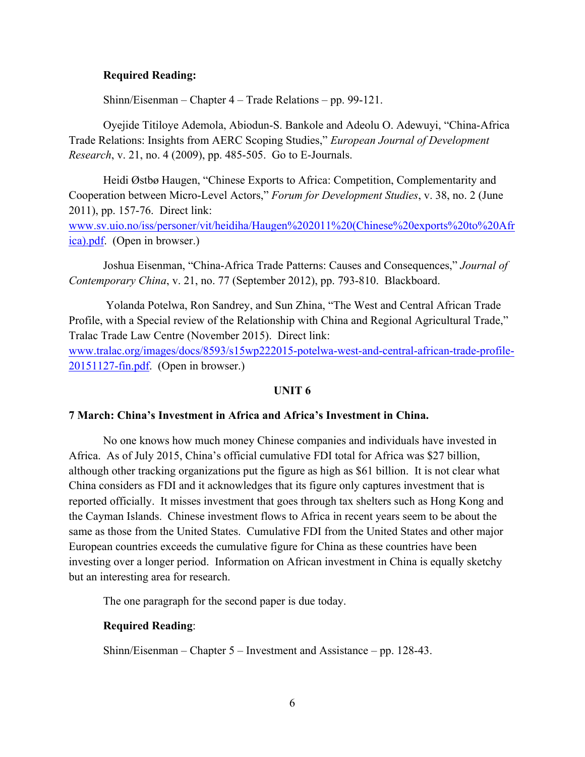## **Required Reading:**

Shinn/Eisenman – Chapter 4 – Trade Relations – pp. 99-121.

Oyejide Titiloye Ademola, Abiodun-S. Bankole and Adeolu O. Adewuyi, "China-Africa Trade Relations: Insights from AERC Scoping Studies," *European Journal of Development Research*, v. 21, no. 4 (2009), pp. 485-505. Go to E-Journals.

Heidi Østbø Haugen, "Chinese Exports to Africa: Competition, Complementarity and Cooperation between Micro-Level Actors," *Forum for Development Studies*, v. 38, no. 2 (June 2011), pp. 157-76. Direct link:

www.sv.uio.no/iss/personer/vit/heidiha/Haugen%202011%20(Chinese%20exports%20to%20Afr ica).pdf. (Open in browser.)

Joshua Eisenman, "China-Africa Trade Patterns: Causes and Consequences," *Journal of Contemporary China*, v. 21, no. 77 (September 2012), pp. 793-810. Blackboard.

Yolanda Potelwa, Ron Sandrey, and Sun Zhina, "The West and Central African Trade Profile, with a Special review of the Relationship with China and Regional Agricultural Trade," Tralac Trade Law Centre (November 2015). Direct link: www.tralac.org/images/docs/8593/s15wp222015-potelwa-west-and-central-african-trade-profile-

20151127-fin.pdf. (Open in browser.)

## **UNIT 6**

## **7 March: China's Investment in Africa and Africa's Investment in China.**

No one knows how much money Chinese companies and individuals have invested in Africa. As of July 2015, China's official cumulative FDI total for Africa was \$27 billion, although other tracking organizations put the figure as high as \$61 billion. It is not clear what China considers as FDI and it acknowledges that its figure only captures investment that is reported officially. It misses investment that goes through tax shelters such as Hong Kong and the Cayman Islands. Chinese investment flows to Africa in recent years seem to be about the same as those from the United States. Cumulative FDI from the United States and other major European countries exceeds the cumulative figure for China as these countries have been investing over a longer period. Information on African investment in China is equally sketchy but an interesting area for research.

The one paragraph for the second paper is due today.

## **Required Reading**:

Shinn/Eisenman – Chapter 5 – Investment and Assistance – pp. 128-43.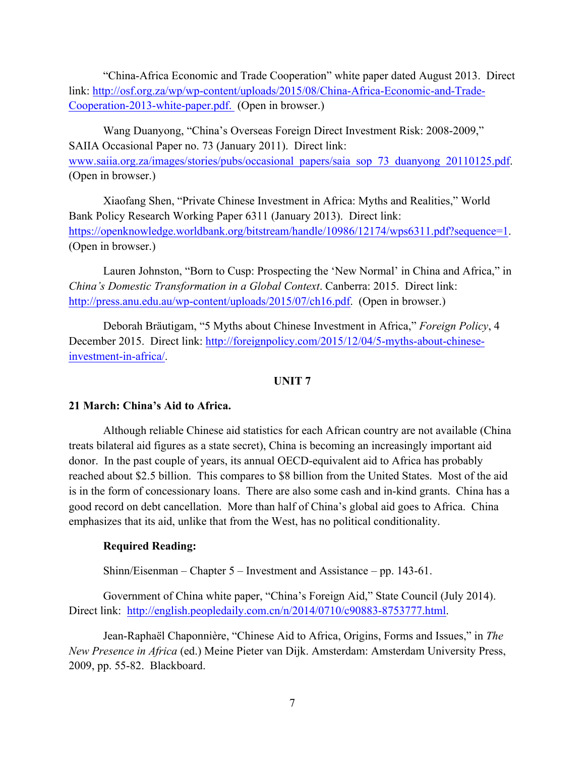"China-Africa Economic and Trade Cooperation" white paper dated August 2013. Direct link: http://osf.org.za/wp/wp-content/uploads/2015/08/China-Africa-Economic-and-Trade-Cooperation-2013-white-paper.pdf. (Open in browser.)

Wang Duanyong, "China's Overseas Foreign Direct Investment Risk: 2008-2009," SAIIA Occasional Paper no. 73 (January 2011). Direct link: www.saiia.org.za/images/stories/pubs/occasional\_papers/saia\_sop\_73\_duanyong\_20110125.pdf. (Open in browser.)

Xiaofang Shen, "Private Chinese Investment in Africa: Myths and Realities," World Bank Policy Research Working Paper 6311 (January 2013). Direct link: https://openknowledge.worldbank.org/bitstream/handle/10986/12174/wps6311.pdf?sequence=1. (Open in browser.)

Lauren Johnston, "Born to Cusp: Prospecting the 'New Normal' in China and Africa," in *China's Domestic Transformation in a Global Context*. Canberra: 2015. Direct link: http://press.anu.edu.au/wp-content/uploads/2015/07/ch16.pdf. (Open in browser.)

Deborah Bräutigam, "5 Myths about Chinese Investment in Africa," *Foreign Policy*, 4 December 2015. Direct link: http://foreignpolicy.com/2015/12/04/5-myths-about-chineseinvestment-in-africa/.

## **UNIT 7**

## **21 March: China's Aid to Africa.**

Although reliable Chinese aid statistics for each African country are not available (China treats bilateral aid figures as a state secret), China is becoming an increasingly important aid donor. In the past couple of years, its annual OECD-equivalent aid to Africa has probably reached about \$2.5 billion. This compares to \$8 billion from the United States. Most of the aid is in the form of concessionary loans. There are also some cash and in-kind grants. China has a good record on debt cancellation. More than half of China's global aid goes to Africa. China emphasizes that its aid, unlike that from the West, has no political conditionality.

# **Required Reading:**

Shinn/Eisenman – Chapter 5 – Investment and Assistance – pp. 143-61.

Government of China white paper, "China's Foreign Aid," State Council (July 2014). Direct link: http://english.peopledaily.com.cn/n/2014/0710/c90883-8753777.html.

Jean-Raphaël Chaponnière, "Chinese Aid to Africa, Origins, Forms and Issues," in *The New Presence in Africa* (ed.) Meine Pieter van Dijk. Amsterdam: Amsterdam University Press, 2009, pp. 55-82. Blackboard.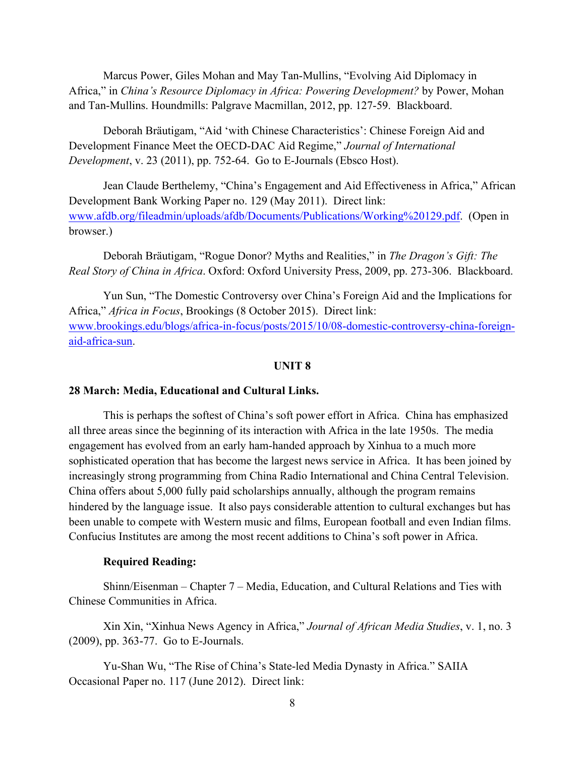Marcus Power, Giles Mohan and May Tan-Mullins, "Evolving Aid Diplomacy in Africa," in *China's Resource Diplomacy in Africa: Powering Development?* by Power, Mohan and Tan-Mullins. Houndmills: Palgrave Macmillan, 2012, pp. 127-59. Blackboard.

Deborah Bräutigam, "Aid 'with Chinese Characteristics': Chinese Foreign Aid and Development Finance Meet the OECD-DAC Aid Regime," *Journal of International Development*, v. 23 (2011), pp. 752-64. Go to E-Journals (Ebsco Host).

Jean Claude Berthelemy, "China's Engagement and Aid Effectiveness in Africa," African Development Bank Working Paper no. 129 (May 2011). Direct link: www.afdb.org/fileadmin/uploads/afdb/Documents/Publications/Working%20129.pdf. (Open in browser.)

Deborah Bräutigam, "Rogue Donor? Myths and Realities," in *The Dragon's Gift: The Real Story of China in Africa*. Oxford: Oxford University Press, 2009, pp. 273-306. Blackboard.

Yun Sun, "The Domestic Controversy over China's Foreign Aid and the Implications for Africa," *Africa in Focus*, Brookings (8 October 2015). Direct link: www.brookings.edu/blogs/africa-in-focus/posts/2015/10/08-domestic-controversy-china-foreignaid-africa-sun.

#### **UNIT 8**

#### **28 March: Media, Educational and Cultural Links.**

This is perhaps the softest of China's soft power effort in Africa. China has emphasized all three areas since the beginning of its interaction with Africa in the late 1950s. The media engagement has evolved from an early ham-handed approach by Xinhua to a much more sophisticated operation that has become the largest news service in Africa. It has been joined by increasingly strong programming from China Radio International and China Central Television. China offers about 5,000 fully paid scholarships annually, although the program remains hindered by the language issue. It also pays considerable attention to cultural exchanges but has been unable to compete with Western music and films, European football and even Indian films. Confucius Institutes are among the most recent additions to China's soft power in Africa.

#### **Required Reading:**

Shinn/Eisenman – Chapter 7 – Media, Education, and Cultural Relations and Ties with Chinese Communities in Africa.

Xin Xin, "Xinhua News Agency in Africa," *Journal of African Media Studies*, v. 1, no. 3 (2009), pp. 363-77. Go to E-Journals.

Yu-Shan Wu, "The Rise of China's State-led Media Dynasty in Africa." SAIIA Occasional Paper no. 117 (June 2012). Direct link: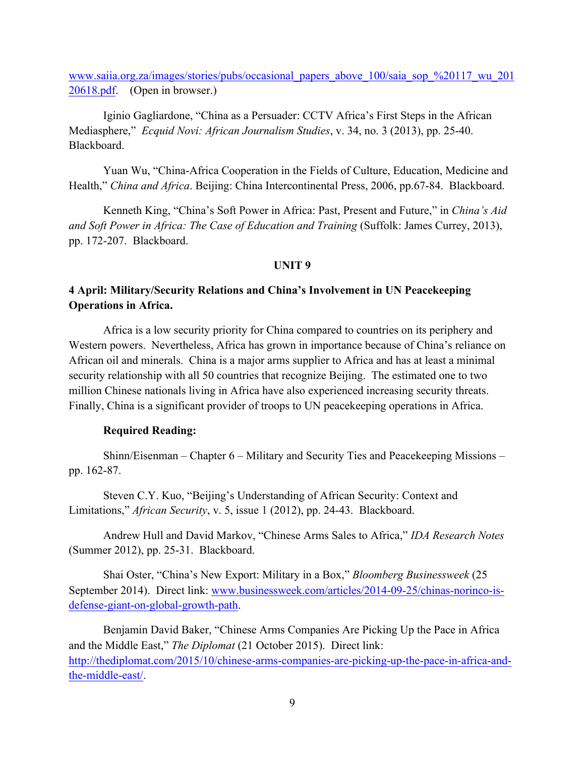www.saiia.org.za/images/stories/pubs/occasional\_papers\_above\_100/saia\_sop\_%20117\_wu\_201 20618.pdf. (Open in browser.)

Iginio Gagliardone, "China as a Persuader: CCTV Africa's First Steps in the African Mediasphere," *Ecquid Novi: African Journalism Studies*, v. 34, no. 3 (2013), pp. 25-40. Blackboard.

Yuan Wu, "China-Africa Cooperation in the Fields of Culture, Education, Medicine and Health," *China and Africa*. Beijing: China Intercontinental Press, 2006, pp.67-84. Blackboard.

Kenneth King, "China's Soft Power in Africa: Past, Present and Future," in *China's Aid and Soft Power in Africa: The Case of Education and Training* (Suffolk: James Currey, 2013), pp. 172-207. Blackboard.

## **UNIT 9**

# **4 April: Military/Security Relations and China's Involvement in UN Peacekeeping Operations in Africa.**

Africa is a low security priority for China compared to countries on its periphery and Western powers. Nevertheless, Africa has grown in importance because of China's reliance on African oil and minerals. China is a major arms supplier to Africa and has at least a minimal security relationship with all 50 countries that recognize Beijing. The estimated one to two million Chinese nationals living in Africa have also experienced increasing security threats. Finally, China is a significant provider of troops to UN peacekeeping operations in Africa.

## **Required Reading:**

Shinn/Eisenman – Chapter 6 – Military and Security Ties and Peacekeeping Missions – pp. 162-87.

Steven C.Y. Kuo, "Beijing's Understanding of African Security: Context and Limitations," *African Security*, v. 5, issue 1 (2012), pp. 24-43. Blackboard.

Andrew Hull and David Markov, "Chinese Arms Sales to Africa," *IDA Research Notes* (Summer 2012), pp. 25-31. Blackboard.

Shai Oster, "China's New Export: Military in a Box," *Bloomberg Businessweek* (25 September 2014). Direct link: www.businessweek.com/articles/2014-09-25/chinas-norinco-isdefense-giant-on-global-growth-path.

Benjamin David Baker, "Chinese Arms Companies Are Picking Up the Pace in Africa and the Middle East," *The Diplomat* (21 October 2015). Direct link: http://thediplomat.com/2015/10/chinese-arms-companies-are-picking-up-the-pace-in-africa-andthe-middle-east/.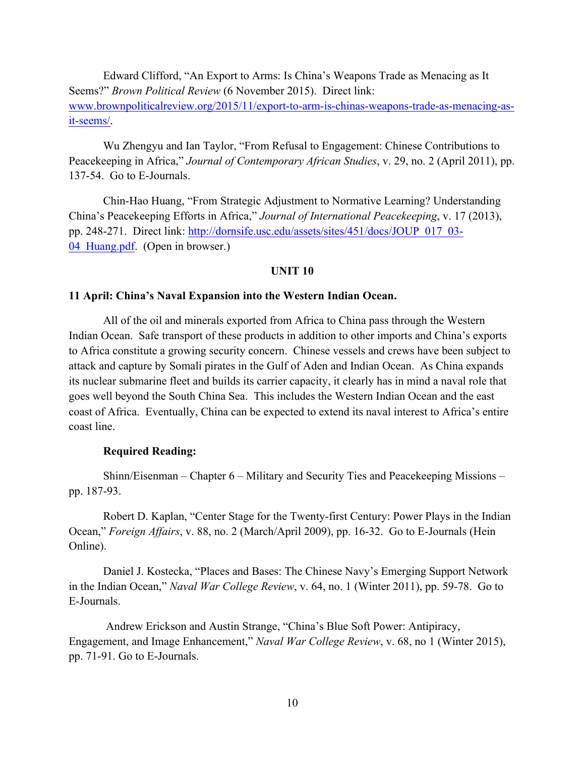Edward Clifford, "An Export to Arms: Is China's Weapons Trade as Menacing as It Seems?" *Brown Political Review* (6 November 2015). Direct link: www.brownpoliticalreview.org/2015/11/export-to-arm-is-chinas-weapons-trade-as-menacing-asit-seems/.

Wu Zhengyu and Ian Taylor, "From Refusal to Engagement: Chinese Contributions to Peacekeeping in Africa," *Journal of Contemporary African Studies*, v. 29, no. 2 (April 2011), pp. 137-54. Go to E-Journals.

Chin-Hao Huang, "From Strategic Adjustment to Normative Learning? Understanding China's Peacekeeping Efforts in Africa," *Journal of International Peacekeeping*, v. 17 (2013), pp. 248-271. Direct link: http://dornsife.usc.edu/assets/sites/451/docs/JOUP\_017\_03- 04 Huang.pdf. (Open in browser.)

## **UNIT 10**

#### **11 April: China's Naval Expansion into the Western Indian Ocean.**

All of the oil and minerals exported from Africa to China pass through the Western Indian Ocean. Safe transport of these products in addition to other imports and China's exports to Africa constitute a growing security concern. Chinese vessels and crews have been subject to attack and capture by Somali pirates in the Gulf of Aden and Indian Ocean. As China expands its nuclear submarine fleet and builds its carrier capacity, it clearly has in mind a naval role that goes well beyond the South China Sea. This includes the Western Indian Ocean and the east coast of Africa. Eventually, China can be expected to extend its naval interest to Africa's entire coast line.

## **Required Reading:**

Shinn/Eisenman – Chapter 6 – Military and Security Ties and Peacekeeping Missions – pp. 187-93.

Robert D. Kaplan, "Center Stage for the Twenty-first Century: Power Plays in the Indian Ocean," *Foreign Affairs*, v. 88, no. 2 (March/April 2009), pp. 16-32. Go to E-Journals (Hein Online).

Daniel J. Kostecka, "Places and Bases: The Chinese Navy's Emerging Support Network in the Indian Ocean," *Naval War College Review*, v. 64, no. 1 (Winter 2011), pp. 59-78. Go to E-Journals.

Andrew Erickson and Austin Strange, "China's Blue Soft Power: Antipiracy, Engagement, and Image Enhancement," *Naval War College Review*, v. 68, no 1 (Winter 2015), pp. 71-91. Go to E-Journals.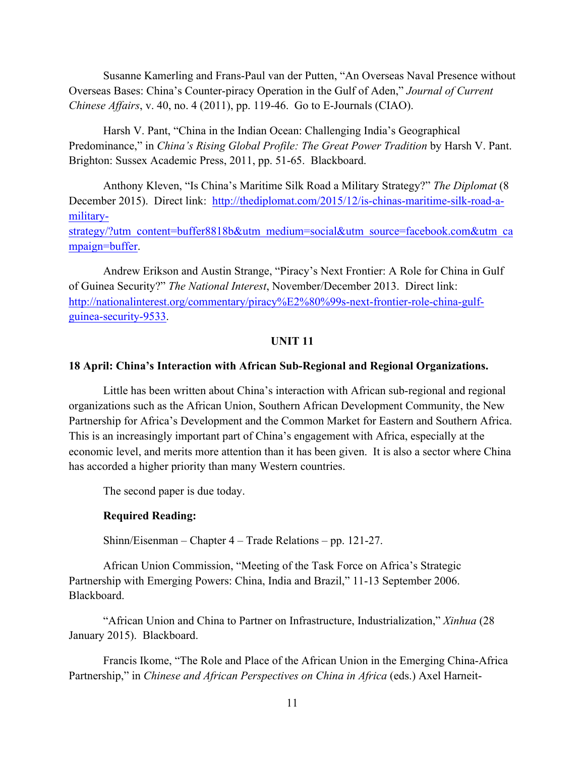Susanne Kamerling and Frans-Paul van der Putten, "An Overseas Naval Presence without Overseas Bases: China's Counter-piracy Operation in the Gulf of Aden," *Journal of Current Chinese Affairs*, v. 40, no. 4 (2011), pp. 119-46. Go to E-Journals (CIAO).

Harsh V. Pant, "China in the Indian Ocean: Challenging India's Geographical Predominance," in *China's Rising Global Profile: The Great Power Tradition* by Harsh V. Pant. Brighton: Sussex Academic Press, 2011, pp. 51-65. Blackboard.

Anthony Kleven, "Is China's Maritime Silk Road a Military Strategy?" *The Diplomat* (8 December 2015). Direct link: http://thediplomat.com/2015/12/is-chinas-maritime-silk-road-amilitary-

strategy/?utm\_content=buffer8818b&utm\_medium=social&utm\_source=facebook.com&utm\_ca mpaign=buffer.

Andrew Erikson and Austin Strange, "Piracy's Next Frontier: A Role for China in Gulf of Guinea Security?" *The National Interest*, November/December 2013. Direct link: http://nationalinterest.org/commentary/piracy%E2%80%99s-next-frontier-role-china-gulfguinea-security-9533.

## **UNIT 11**

## **18 April: China's Interaction with African Sub-Regional and Regional Organizations.**

Little has been written about China's interaction with African sub-regional and regional organizations such as the African Union, Southern African Development Community, the New Partnership for Africa's Development and the Common Market for Eastern and Southern Africa. This is an increasingly important part of China's engagement with Africa, especially at the economic level, and merits more attention than it has been given. It is also a sector where China has accorded a higher priority than many Western countries.

The second paper is due today.

#### **Required Reading:**

Shinn/Eisenman – Chapter 4 – Trade Relations – pp. 121-27.

African Union Commission, "Meeting of the Task Force on Africa's Strategic Partnership with Emerging Powers: China, India and Brazil," 11-13 September 2006. Blackboard.

"African Union and China to Partner on Infrastructure, Industrialization," *Xinhua* (28 January 2015). Blackboard.

Francis Ikome, "The Role and Place of the African Union in the Emerging China-Africa Partnership," in *Chinese and African Perspectives on China in Africa* (eds.) Axel Harneit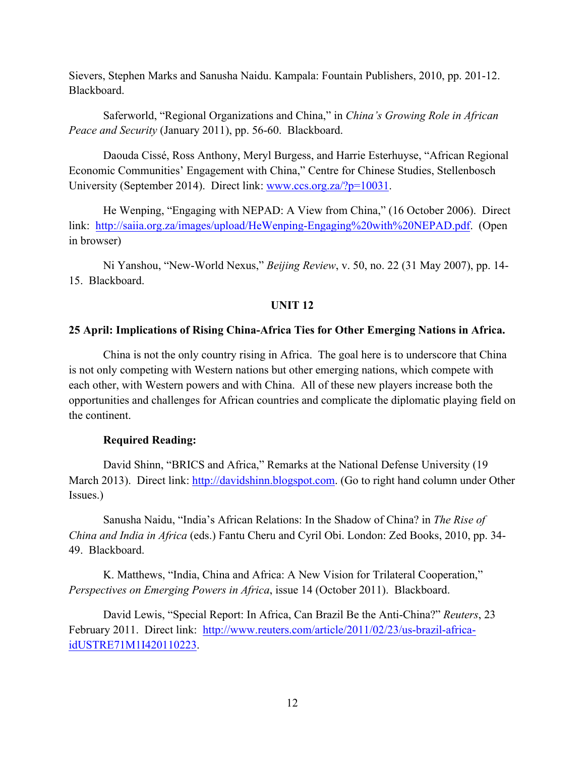Sievers, Stephen Marks and Sanusha Naidu. Kampala: Fountain Publishers, 2010, pp. 201-12. Blackboard.

Saferworld, "Regional Organizations and China," in *China's Growing Role in African Peace and Security* (January 2011), pp. 56-60. Blackboard.

Daouda Cissé, Ross Anthony, Meryl Burgess, and Harrie Esterhuyse, "African Regional Economic Communities' Engagement with China," Centre for Chinese Studies, Stellenbosch University (September 2014). Direct link: www.ccs.org.za/?p=10031.

He Wenping, "Engaging with NEPAD: A View from China," (16 October 2006). Direct link: http://saiia.org.za/images/upload/HeWenping-Engaging%20with%20NEPAD.pdf. (Open in browser)

Ni Yanshou, "New-World Nexus," *Beijing Review*, v. 50, no. 22 (31 May 2007), pp. 14- 15. Blackboard.

# **UNIT 12**

## **25 April: Implications of Rising China-Africa Ties for Other Emerging Nations in Africa.**

China is not the only country rising in Africa. The goal here is to underscore that China is not only competing with Western nations but other emerging nations, which compete with each other, with Western powers and with China. All of these new players increase both the opportunities and challenges for African countries and complicate the diplomatic playing field on the continent.

# **Required Reading:**

David Shinn, "BRICS and Africa," Remarks at the National Defense University (19 March 2013). Direct link: http://davidshinn.blogspot.com. (Go to right hand column under Other Issues.)

Sanusha Naidu, "India's African Relations: In the Shadow of China? in *The Rise of China and India in Africa* (eds.) Fantu Cheru and Cyril Obi. London: Zed Books, 2010, pp. 34- 49. Blackboard.

K. Matthews, "India, China and Africa: A New Vision for Trilateral Cooperation," *Perspectives on Emerging Powers in Africa*, issue 14 (October 2011). Blackboard.

David Lewis, "Special Report: In Africa, Can Brazil Be the Anti-China?" *Reuters*, 23 February 2011. Direct link: http://www.reuters.com/article/2011/02/23/us-brazil-africaidUSTRE71M1I420110223.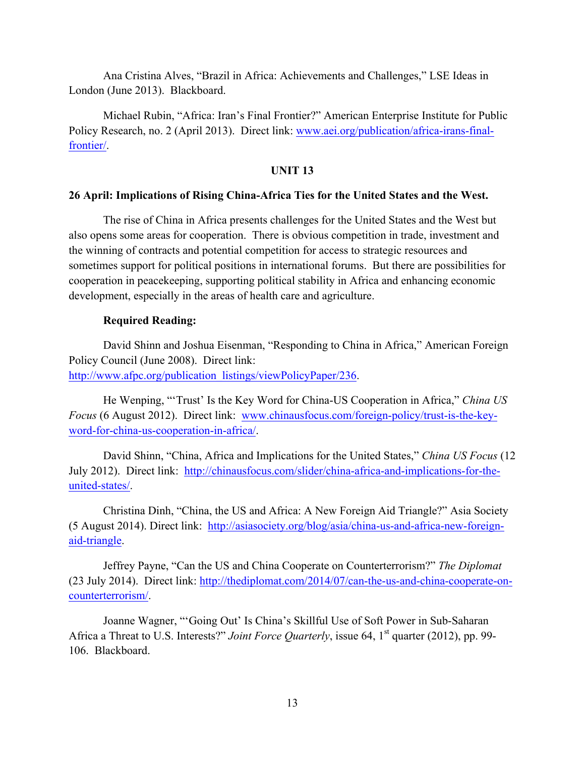Ana Cristina Alves, "Brazil in Africa: Achievements and Challenges," LSE Ideas in London (June 2013). Blackboard.

Michael Rubin, "Africa: Iran's Final Frontier?" American Enterprise Institute for Public Policy Research, no. 2 (April 2013). Direct link: www.aei.org/publication/africa-irans-finalfrontier/.

## **UNIT 13**

#### **26 April: Implications of Rising China-Africa Ties for the United States and the West.**

The rise of China in Africa presents challenges for the United States and the West but also opens some areas for cooperation. There is obvious competition in trade, investment and the winning of contracts and potential competition for access to strategic resources and sometimes support for political positions in international forums. But there are possibilities for cooperation in peacekeeping, supporting political stability in Africa and enhancing economic development, especially in the areas of health care and agriculture.

## **Required Reading:**

David Shinn and Joshua Eisenman, "Responding to China in Africa," American Foreign Policy Council (June 2008). Direct link: http://www.afpc.org/publication\_listings/viewPolicyPaper/236.

He Wenping, "'Trust' Is the Key Word for China-US Cooperation in Africa," *China US Focus* (6 August 2012). Direct link: www.chinausfocus.com/foreign-policy/trust-is-the-keyword-for-china-us-cooperation-in-africa/.

David Shinn, "China, Africa and Implications for the United States," *China US Focus* (12 July 2012). Direct link: http://chinausfocus.com/slider/china-africa-and-implications-for-theunited-states/.

Christina Dinh, "China, the US and Africa: A New Foreign Aid Triangle?" Asia Society (5 August 2014). Direct link: http://asiasociety.org/blog/asia/china-us-and-africa-new-foreignaid-triangle.

Jeffrey Payne, "Can the US and China Cooperate on Counterterrorism?" *The Diplomat* (23 July 2014). Direct link: http://thediplomat.com/2014/07/can-the-us-and-china-cooperate-oncounterterrorism/.

Joanne Wagner, "'Going Out' Is China's Skillful Use of Soft Power in Sub-Saharan Africa a Threat to U.S. Interests?" *Joint Force Quarterly*, issue 64, 1<sup>st</sup> quarter (2012), pp. 99-106. Blackboard.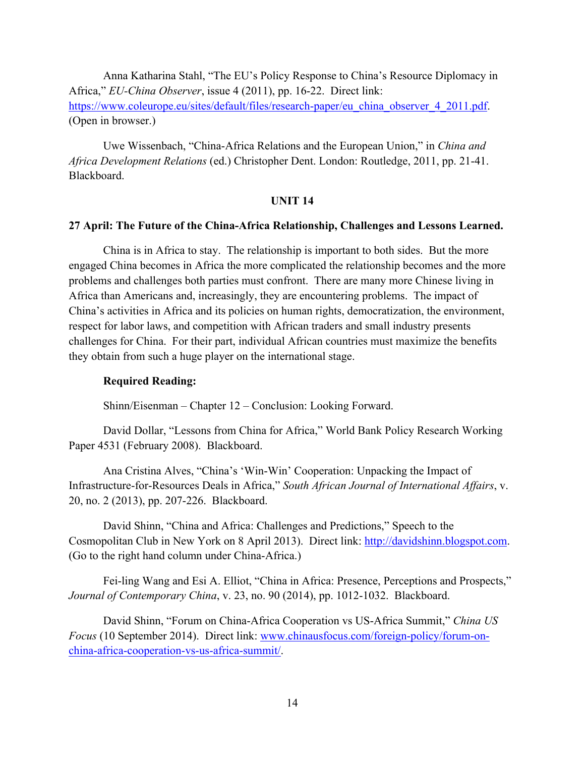Anna Katharina Stahl, "The EU's Policy Response to China's Resource Diplomacy in Africa," *EU-China Observer*, issue 4 (2011), pp. 16-22. Direct link: https://www.coleurope.eu/sites/default/files/research-paper/eu\_china\_observer\_4\_2011.pdf. (Open in browser.)

Uwe Wissenbach, "China-Africa Relations and the European Union," in *China and Africa Development Relations* (ed.) Christopher Dent. London: Routledge, 2011, pp. 21-41. Blackboard.

## **UNIT 14**

#### **27 April: The Future of the China-Africa Relationship, Challenges and Lessons Learned.**

China is in Africa to stay. The relationship is important to both sides. But the more engaged China becomes in Africa the more complicated the relationship becomes and the more problems and challenges both parties must confront. There are many more Chinese living in Africa than Americans and, increasingly, they are encountering problems. The impact of China's activities in Africa and its policies on human rights, democratization, the environment, respect for labor laws, and competition with African traders and small industry presents challenges for China. For their part, individual African countries must maximize the benefits they obtain from such a huge player on the international stage.

#### **Required Reading:**

Shinn/Eisenman – Chapter 12 – Conclusion: Looking Forward.

David Dollar, "Lessons from China for Africa," World Bank Policy Research Working Paper 4531 (February 2008). Blackboard.

Ana Cristina Alves, "China's 'Win-Win' Cooperation: Unpacking the Impact of Infrastructure-for-Resources Deals in Africa," *South African Journal of International Affairs*, v. 20, no. 2 (2013), pp. 207-226. Blackboard.

David Shinn, "China and Africa: Challenges and Predictions," Speech to the Cosmopolitan Club in New York on 8 April 2013). Direct link: http://davidshinn.blogspot.com. (Go to the right hand column under China-Africa.)

Fei-ling Wang and Esi A. Elliot, "China in Africa: Presence, Perceptions and Prospects," *Journal of Contemporary China*, v. 23, no. 90 (2014), pp. 1012-1032. Blackboard.

David Shinn, "Forum on China-Africa Cooperation vs US-Africa Summit," *China US Focus* (10 September 2014). Direct link: www.chinausfocus.com/foreign-policy/forum-onchina-africa-cooperation-vs-us-africa-summit/.